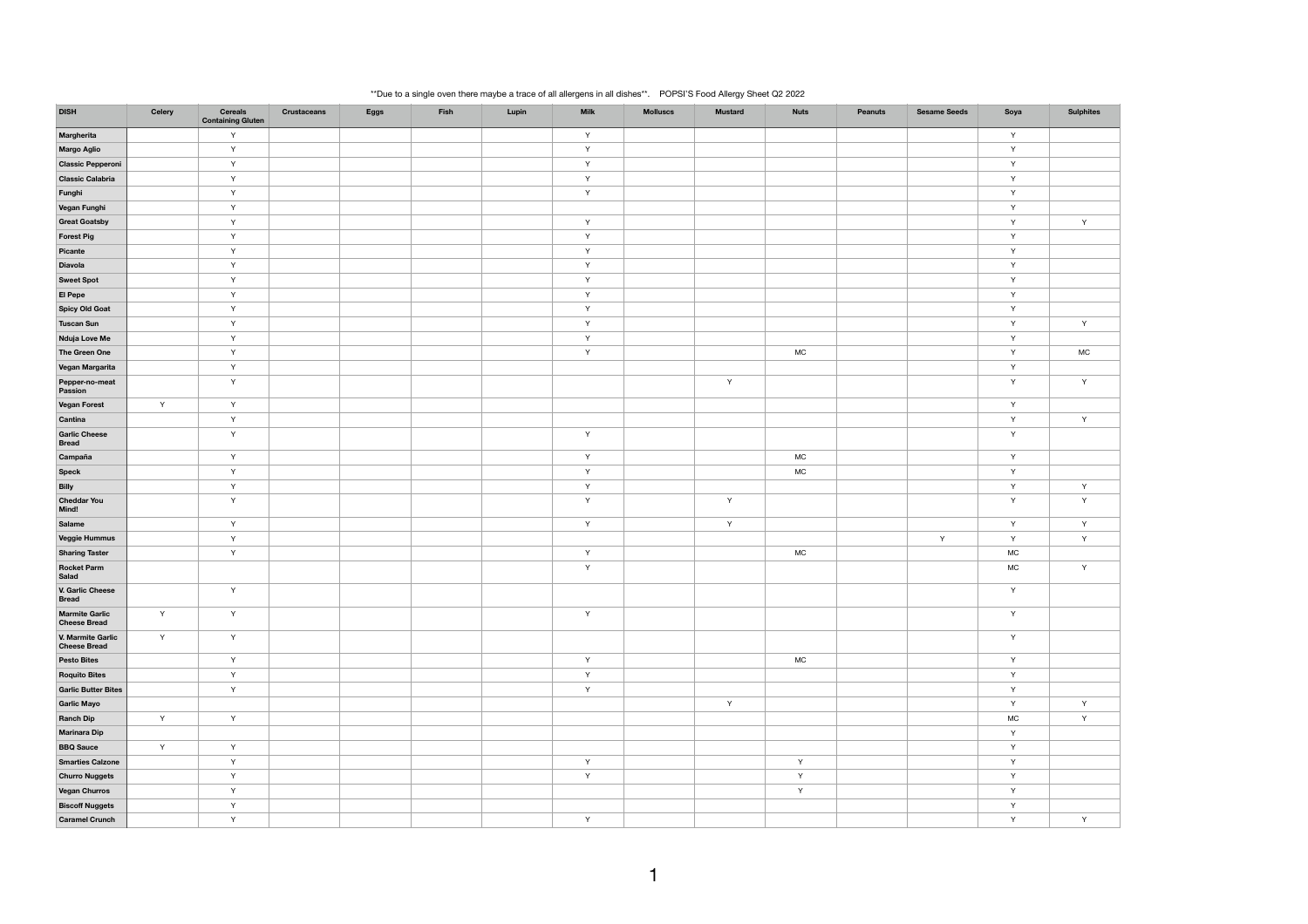## \*\*Due to a single oven there maybe a trace of all allergens in all dishes\*\*. POPSI'S Food Allergy Sheet Q2 2022

| <b>DISH</b>                                  | <b>Celery</b> | <b>Cereals</b><br><b>Containing Gluten</b> | <b>Crustaceans</b> | <b>Eggs</b> | Fish | Lupin | <b>Milk</b>  | <b>Molluscs</b> | <b>Mustard</b> | <b>Nuts</b>  | <b>Peanuts</b> | <b>Sesame Seeds</b> | Soya         | <b>Sulphites</b> |
|----------------------------------------------|---------------|--------------------------------------------|--------------------|-------------|------|-------|--------------|-----------------|----------------|--------------|----------------|---------------------|--------------|------------------|
| Margherita                                   |               | Y                                          |                    |             |      |       | $\mathsf{Y}$ |                 |                |              |                |                     | $\mathsf{Y}$ |                  |
| <b>Margo Aglio</b>                           |               | Y                                          |                    |             |      |       | Y            |                 |                |              |                |                     | Y            |                  |
| <b>Classic Pepperoni</b>                     |               | Y                                          |                    |             |      |       | Y            |                 |                |              |                |                     | Y            |                  |
| <b>Classic Calabria</b>                      |               | Y                                          |                    |             |      |       | $\mathsf Y$  |                 |                |              |                |                     | Y            |                  |
| Funghi                                       |               | Y                                          |                    |             |      |       | Y            |                 |                |              |                |                     | Y            |                  |
| Vegan Funghi                                 |               | $\mathsf{Y}$                               |                    |             |      |       |              |                 |                |              |                |                     | Y            |                  |
| <b>Great Goatsby</b>                         |               | Y                                          |                    |             |      |       | $\mathsf Y$  |                 |                |              |                |                     | Y            | $\mathsf{Y}$     |
| <b>Forest Pig</b>                            |               | Y                                          |                    |             |      |       | Y            |                 |                |              |                |                     | Y            |                  |
| Picante                                      |               | Y                                          |                    |             |      |       | Y            |                 |                |              |                |                     | Y            |                  |
| <b>Diavola</b>                               |               | $\mathsf{Y}$                               |                    |             |      |       | $\mathsf Y$  |                 |                |              |                |                     | Y            |                  |
| <b>Sweet Spot</b>                            |               | Y                                          |                    |             |      |       | Y            |                 |                |              |                |                     | Y            |                  |
| El Pepe                                      |               | Y                                          |                    |             |      |       | Y            |                 |                |              |                |                     | Y            |                  |
| <b>Spicy Old Goat</b>                        |               | $\mathsf{Y}$                               |                    |             |      |       | Y            |                 |                |              |                |                     | Y            |                  |
| <b>Tuscan Sun</b>                            |               | Y                                          |                    |             |      |       | Y            |                 |                |              |                |                     | Y            | Y                |
| <b>Nduja Love Me</b>                         |               | Y                                          |                    |             |      |       | Y            |                 |                |              |                |                     | Y            |                  |
| The Green One                                |               | $\mathsf{Y}$                               |                    |             |      |       | $\mathsf Y$  |                 |                | <b>MC</b>    |                |                     | Y            | <b>MC</b>        |
| Vegan Margarita                              |               | Y                                          |                    |             |      |       |              |                 |                |              |                |                     | Y            |                  |
| Pepper-no-meat<br>Passion                    |               | Y                                          |                    |             |      |       |              |                 | Y              |              |                |                     | Y            | Y                |
| <b>Vegan Forest</b>                          | $\mathsf{Y}$  | $\mathsf{Y}$                               |                    |             |      |       |              |                 |                |              |                |                     | Y            |                  |
| Cantina                                      |               | Y                                          |                    |             |      |       |              |                 |                |              |                |                     | Y            | $\mathsf{Y}$     |
| <b>Garlic Cheese</b><br><b>Bread</b>         |               | Y                                          |                    |             |      |       | Y            |                 |                |              |                |                     | $\mathsf{Y}$ |                  |
| Campaña                                      |               | Y                                          |                    |             |      |       | Y            |                 |                | <b>MC</b>    |                |                     | Y            |                  |
| Speck                                        |               | Y                                          |                    |             |      |       | Y            |                 |                | <b>MC</b>    |                |                     | Y            |                  |
| <b>Billy</b>                                 |               | Y                                          |                    |             |      |       | Y            |                 |                |              |                |                     | Y            | Y                |
| <b>Cheddar You</b><br>Mind!                  |               | $\mathsf{Y}$                               |                    |             |      |       | $\mathsf Y$  |                 | Y              |              |                |                     | Y            | Y                |
| Salame                                       |               | Y                                          |                    |             |      |       | Y            |                 | Y              |              |                |                     | Y            | Y                |
| Veggie Hummus                                |               | Y                                          |                    |             |      |       |              |                 |                |              |                | Y                   | Y            | Y                |
| <b>Sharing Taster</b>                        |               | Y                                          |                    |             |      |       | Y            |                 |                | <b>MC</b>    |                |                     | <b>MC</b>    |                  |
| <b>Rocket Parm</b><br><b>Salad</b>           |               |                                            |                    |             |      |       | $\mathsf Y$  |                 |                |              |                |                     | <b>MC</b>    | Y                |
| V. Garlic Cheese<br><b>Bread</b>             |               | $\mathsf{Y}$                               |                    |             |      |       |              |                 |                |              |                |                     | $\mathsf{Y}$ |                  |
| <b>Marmite Garlic</b><br><b>Cheese Bread</b> | Y             | Y                                          |                    |             |      |       | $\mathsf Y$  |                 |                |              |                |                     | Y            |                  |
| V. Marmite Garlic<br><b>Cheese Bread</b>     | Y             | Y                                          |                    |             |      |       |              |                 |                |              |                |                     | Y            |                  |
| <b>Pesto Bites</b>                           |               | Y                                          |                    |             |      |       | Y            |                 |                | <b>MC</b>    |                |                     | $\mathsf{Y}$ |                  |
| <b>Roquito Bites</b>                         |               | Y                                          |                    |             |      |       | Y            |                 |                |              |                |                     | Y            |                  |
| <b>Garlic Butter Bites</b>                   |               | Y                                          |                    |             |      |       | Y            |                 |                |              |                |                     | Y            |                  |
| <b>Garlic Mayo</b>                           |               |                                            |                    |             |      |       |              |                 | $\mathsf{Y}$   |              |                |                     | Y            | $\mathsf{Y}$     |
| <b>Ranch Dip</b>                             | Y             | Y                                          |                    |             |      |       |              |                 |                |              |                |                     | <b>MC</b>    | Y                |
| <b>Marinara Dip</b>                          |               |                                            |                    |             |      |       |              |                 |                |              |                |                     | $\mathsf{Y}$ |                  |
| <b>BBQ Sauce</b>                             | Y             | $\mathsf{Y}$                               |                    |             |      |       |              |                 |                |              |                |                     | Y            |                  |
| <b>Smarties Calzone</b>                      |               | Y                                          |                    |             |      |       | $\mathsf{Y}$ |                 |                | $\mathsf{Y}$ |                |                     | $\mathsf{Y}$ |                  |
| <b>Churro Nuggets</b>                        |               | Y                                          |                    |             |      |       | Y            |                 |                | $\mathsf{Y}$ |                |                     | Y            |                  |
| <b>Vegan Churros</b>                         |               | $\mathsf{Y}$                               |                    |             |      |       |              |                 |                | Y            |                |                     | $\mathsf{Y}$ |                  |
| <b>Biscoff Nuggets</b>                       |               | $\mathsf{Y}$                               |                    |             |      |       |              |                 |                |              |                |                     | $\mathsf{Y}$ |                  |
| <b>Caramel Crunch</b>                        |               | Y                                          |                    |             |      |       | Y            |                 |                |              |                |                     | $\mathsf{Y}$ | Y.               |